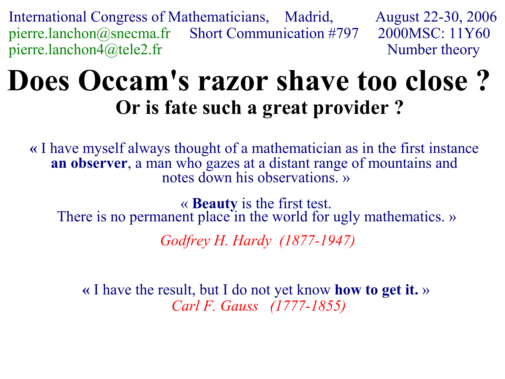International Congress of Mathematicians, Madrid, August 22-30, 2006 pierre.lanchon@snecma.fr Short Communication #797 2000MSC: 11Y60 pierre.lanchon4@tele2.fr Number theory

# **Does Occam's razor shave too close ? Or is fate such a great provider ?**

**«** I have myself always thought of a mathematician as in the first instance **an observer**, a man who gazes at a distant range of mountains and notes down his observations. »

« **Beauty** is the first test. There is no permanent place in the world for ugly mathematics. » *Godfrey H. Hardy (1877-1947)*

**«** I have the result, but I do not yet know **how to get it.** » *Carl F. Gauss (1777-1855)*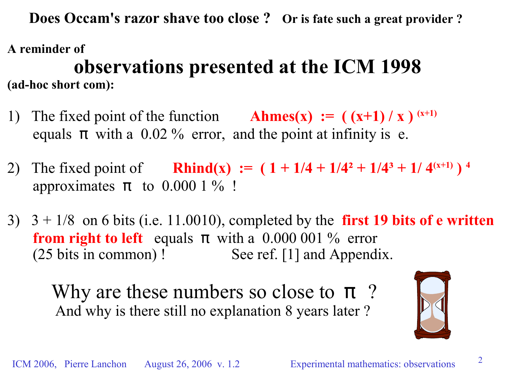**Does Occam's razor shave too close ? Or is fate such a great provider ?**

**A reminder of observations presented at the ICM 1998 (ad-hoc short com):**

- 1) The fixed point of the function **Ahmes(x)** :=  $((x+1)/x)^{(x+1)}$ equals  $\pi$  with a 0.02 % error, and the point at infinity is e.
- 2) The fixed point of **Rhind(x)** :=  $(1 + 1/4 + 1/4^2 + 1/4^3 + 1/4^{(x+1)})^4$ approximates  $\pi$  to 0.000 1 % !
- 3)  $3 + 1/8$  on 6 bits (i.e. 11.0010), completed by the **first 19 bits of e written from right to left** equals  $\pi$  with a 0.000 001 % error (25 bits in common) ! See ref. [1] and Appendix.

Why are these numbers so close to  $\pi$ ? And why is there still no explanation 8 years later ?

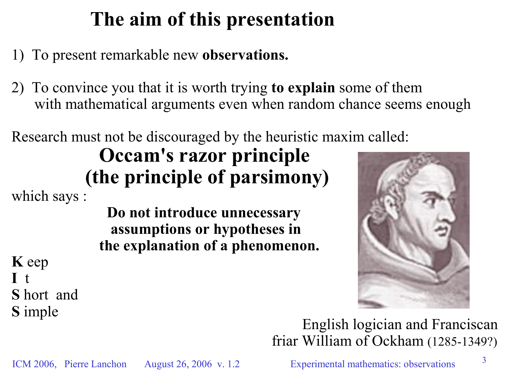## **The aim of this presentation**

1) To present remarkable new **observations.**

2) To convince you that it is worth trying **to explain** some of them with mathematical arguments even when random chance seems enough

Research must not be discouraged by the heuristic maxim called:

### **Occam's razor principle (the principle of parsimony)**

which says :

**Do not introduce unnecessary assumptions or hypotheses in the explanation of a phenomenon.**



**K** eep **I** t **S** hort and **S** imple

English logician and Franciscan friar William of Ockham (1285-1349?)

ICM 2006, Pierre Lanchon August 26, 2006 v. 1.2 Experimental mathematics: observations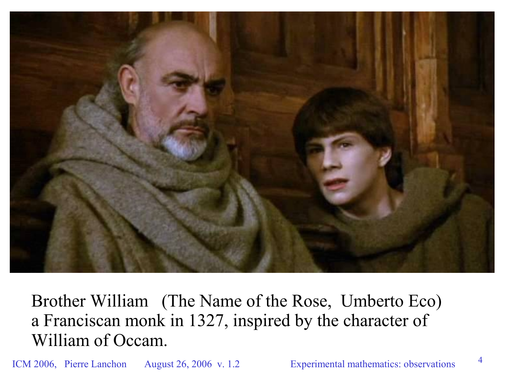

Brother William (The Name of the Rose, Umberto Eco) a Franciscan monk in 1327, inspired by the character of William of Occam.

ICM 2006, Pierre Lanchon August 26, 2006 v. 1.2 Experimental mathematics: observations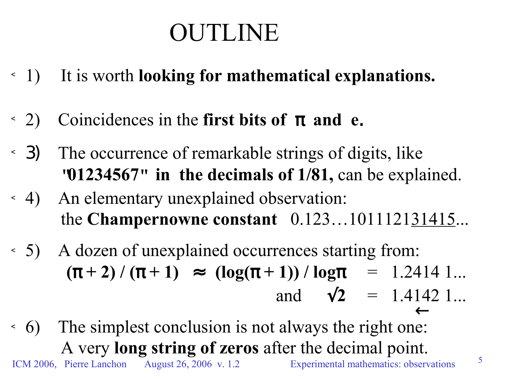# OUTLINE

- ☼ 1) It is worth **looking for mathematical explanations.**
- $(2)$  Coincidences in the **first bits of**  $\pi$  **and e.**
- ☼ 3) The occurrence of remarkable strings of digits, like **"01234567" in the decimals of 1/81,** can be explained.
- ☼ 4) An elementary unexplained observation: the **Champernowne constant** 0.123…101112131415...
- ☼ 5) A dozen of unexplained occurrences starting from:  $(\pi + 2) / (\pi + 1) \approx (\log(\pi + 1)) / \log \pi = 1.24141...$ and  $\sqrt{2}$  = 1.4142 1...
- ICM 2006, Pierre Lanchon August 26, 2006 v. 1.2 Experimental mathematics: observations  $\leftarrow$ ☼ 6) The simplest conclusion is not always the right one: A very **long string of zeros** after the decimal point.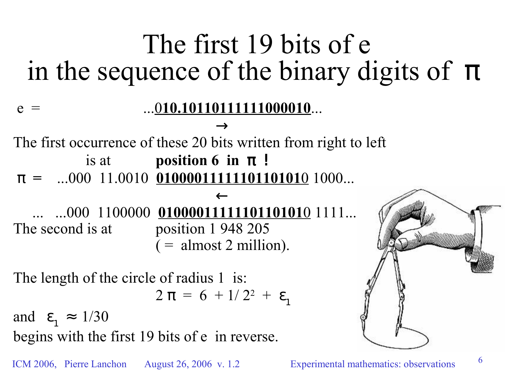# The first 19 bits of e in the sequence of the binary digits of  $\pi$

 $\rightarrow$ The first occurrence of these 20 bits written from right to left is at **position 6** in  $\pi$ !  $\pi$  = ...000 11.0010 01000011111101101010 1000...

e = ...0**10.10110111111000010**...

 $\leftarrow$ ... ...000 1100000 **0100001111110110101**0 1111... The second is at position 1 948 205  $($  = almost 2 million).

The length of the circle of radius 1 is:

$$
2 \pi = 6 + 1/2^2 + \varepsilon_1
$$

and  $\varepsilon_1 \approx 1/30$ begins with the first 19 bits of e in reverse.

ICM 2006, Pierre Lanchon August 26, 2006 v. 1.2 Experimental mathematics: observations

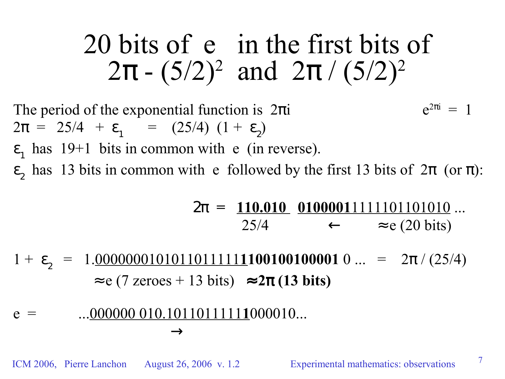# 20 bits of e in the first bits of  $2\pi$  -  $(5/2)^2$  and  $2\pi / (5/2)^2$

The period of the exponential function is  $2\pi i$  $e^{2\pi i} = 1$  $2\pi = 25/4 + \varepsilon_1 = (25/4) (1 + \varepsilon_2)$ 

 $\varepsilon_1$  has 19+1 bits in common with e (in reverse).

 $\epsilon_2$  has 13 bits in common with e followed by the first 13 bits of  $2\pi$  (or  $\pi$ ):

$$
2\pi = \frac{110.010}{25/4} \xrightarrow{01000011111101101010} \dots
$$
  

$$
\leftarrow \approx e (20 \text{ bits})
$$

1 +  $\varepsilon$ <sub>2</sub> = 1.<u>00000001010110111111</u>100100100001 0 ... =  $2\pi / (25/4)$  $\approx$  e (7 zeroes + 13 bits)  $\approx$  2 $\pi$  (13 bits)

$$
e = \dots 000000 010.10110111111000010...
$$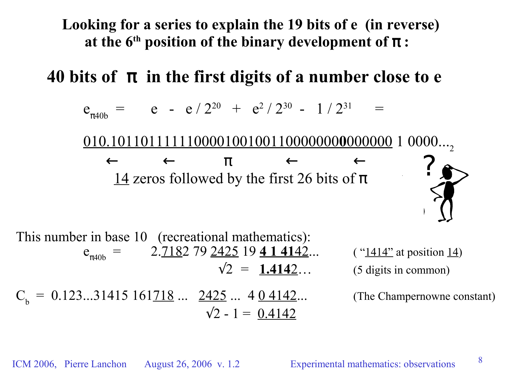**Looking for a series to explain the 19 bits of e (in reverse) at the 6 th position of the binary development of** π **:**

**40** bits of  $\pi$  in the first digits of a number close to  $e$ 

$$
e_{\pi 40b} =
$$
 e - e / 2<sup>20</sup> + e<sup>2</sup> / 2<sup>30</sup> - 1 / 2<sup>31</sup> =

010.101101111110000100100110000000**0**000000 1 0000... 2

 $\leftarrow$  π  $\leftarrow$   $\leftarrow$ 14 zeros followed by the first 26 bits of  $\pi$ 



This number in base 10 (recreational mathematics):  $e_{\pi40b}$ 2.7182 79 2425 19 4 1 4142... ("1414" at position 14)  $\sqrt{2}$  = **1.4142**... (5 digits in common)  $C_b = 0.123...31415161718... 2425... 404142...$  (The Champernowne constant)  $\sqrt{2} - 1 = 0.4142$ 

8

ICM 2006, Pierre Lanchon August 26, 2006 v. 1.2 Experimental mathematics: observations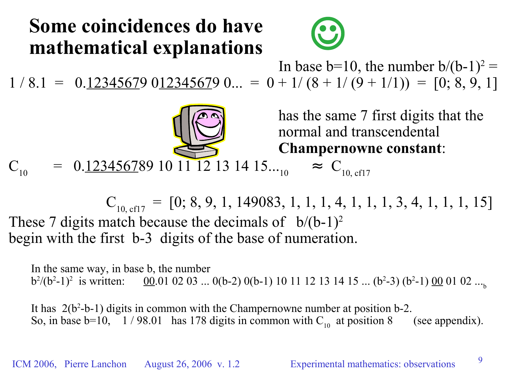### **Some coincidences do have mathematical explanations**



In base b=10, the number  $b/(b-1)^2$  =  $1 / 8.1 = 0.123456790123456790... = 0 + 1/(8 + 1/(9 + 1/1)) = [0; 8, 9, 1]$ 

> has the same 7 first digits that the normal and transcendental **Champernowne constant**:

 $C_{10}$  $= 0.123456789101112131415...$ <sub>10</sub>  $\approx C_{10,\text{cf17}}$ 

 $C_{10, \text{eff}7} = [0; 8, 9, 1, 149083, 1, 1, 1, 4, 1, 1, 1, 3, 4, 1, 1, 1, 15]$ These 7 digits match because the decimals of  $b/(b-1)^2$ begin with the first b-3 digits of the base of numeration.

In the same way, in base b, the number  $b^2/(b^2-1)^2$  is written:  $\underline{00}$ .01 02 03 ... 0(b-2) 0(b-1) 10 11 12 13 14 15 ... (b<sup>2</sup>-3) (b<sup>2</sup>-1)  $\underline{00}$  01 02 ...<sub>b</sub>

It has 2(b 2 -b-1) digits in common with the Champernowne number at position b-2. So, in base b=10, 1/98.01 has 178 digits in common with  $C_{10}$  at position 8 (see appendix).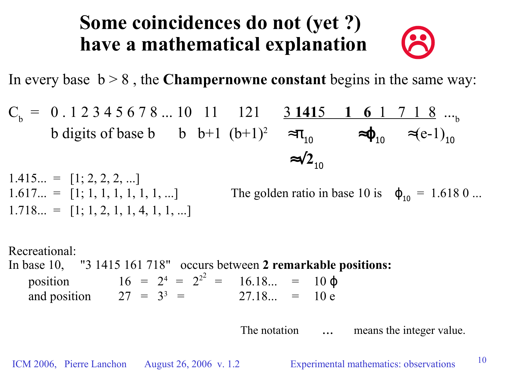### **Some coincidences do not (yet ?) have a mathematical explanation**

In every base  $b > 8$ , the **Champernowne** constant begins in the same way:

$$
C_b = 0.12345678...10 \t11 \t121 \t31415 \t161 \t718 ...b
$$
  
b digits of base b \t b+1 (b+1)<sup>2</sup>  $\approx \pi_{10}$   $\approx \varphi_{10}$   $\approx$ (e-1)<sub>10</sub>  
 $\approx \sqrt{2}_{10}$ 

 $1.415... = 11; 2, 2, 2, ...$ 1.617... = [1; 1, 1, 1, 1, 1, 1, ...] The golden ratio in base 10 is  $\varphi_{10} = 1.6180...$  $1.718... = [1; 1, 2, 1, 1, 4, 1, 1, ...]$ 

Recreational: In base 10, "3 1415 161 718" occurs between **2 remarkable positions:** position  $16 = 2^4 = 2^{2^2} = \lfloor 16.18... \rfloor = \lfloor 10 \varphi \rfloor$ and position  $27 = 3^3 = \lfloor 27.18... \rfloor = \lfloor 10 \ e \rfloor$ 

The notation  $\lfloor \ldots \rfloor$  means the integer value.

ICM 2006, Pierre Lanchon August 26, 2006 v. 1.2 Experimental mathematics: observations

8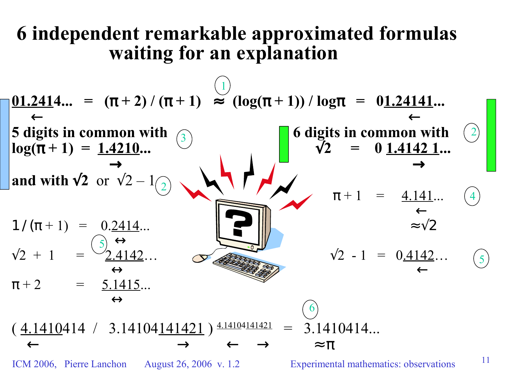#### **6 independent remarkable approximated formulas waiting for an explanation**

| \n $\begin{array}{rcl}\n 01.2414... &=& (\pi + 2) / (\pi + 1) \approx (\log(\pi + 1)) / \log \pi = 01.24141... \\ & & \leftarrow \\ 5 \text{ digits in common with } 0 \\ \log(\pi + 1) &=& 1.4210... \\ & & \rightarrow \\ 1 / (\pi + 1) &=& 0.2414... \\ & & \rightarrow \\ \pi + 2 &=& \frac{5.1415}{6}... \\ & & \rightarrow \\ \pi + 2 &=& \frac{5.1415}{6}... \\ & & \rightarrow \\ \pi + 2 &=& \frac{5.1415}{6}... \\ & & \rightarrow \\ \pi + 2 &=& \frac{5.1415}{6}... \\ & & \rightarrow \\ \pi + 2 &=& \frac{5.1415}{6}... \\ & & \rightarrow \\ \pi + 2 &=& \frac{5.1415}{6}... \\ & & \rightarrow \\ \pi + 2 &=& \frac{5.1415}{6}... \\ & & \rightarrow \\ \pi + 2 &=& \frac{5.1415}{6}... \\ & & \rightarrow \\ \pi + 2 &=& \frac{5.1415}{6}... \\ & & \rightarrow \\ \pi + 2 &=& \frac{5.1415}{6}... \\ & & \rightarrow \\ \pi + 2 &=& \frac{5.1415}{6}... \\ & & \rightarrow \\ \pi + 2 &=& \frac{5.1415}{6}... \\ & & \rightarrow \\ \pi + 2 &=& \frac{5.1415}{6}... \\ & & \rightarrow \\ \pi + 2 &=& \frac{5.1415}{6}... \\ & & \rightarrow \\ \pi + 2 &=& \frac{5.1415}{6}... \\ & & \rightarrow \\ \pi + 2 &=& \frac{5.1415}{6}... \\ & & \rightarrow \\ \pi + 2 &=& \frac{5.1415}{6}... \\ & & \rightarrow \\ \pi + 2 &=& \frac{5.1$ |
|------------------------------------------------------------------------------------------------------------------------------------------------------------------------------------------------------------------------------------------------------------------------------------------------------------------------------------------------------------------------------------------------------------------------------------------------------------------------------------------------------------------------------------------------------------------------------------------------------------------------------------------------------------------------------------------------------------------------------------------------------------------------------------------------------------------------------------------------------------------------------------------------------------------------------------------------------------------------------------------------------------------------------------------------------------------------------------------------------------------------------------------------------------------------------------------------------------------------------------------------------------|
|------------------------------------------------------------------------------------------------------------------------------------------------------------------------------------------------------------------------------------------------------------------------------------------------------------------------------------------------------------------------------------------------------------------------------------------------------------------------------------------------------------------------------------------------------------------------------------------------------------------------------------------------------------------------------------------------------------------------------------------------------------------------------------------------------------------------------------------------------------------------------------------------------------------------------------------------------------------------------------------------------------------------------------------------------------------------------------------------------------------------------------------------------------------------------------------------------------------------------------------------------------|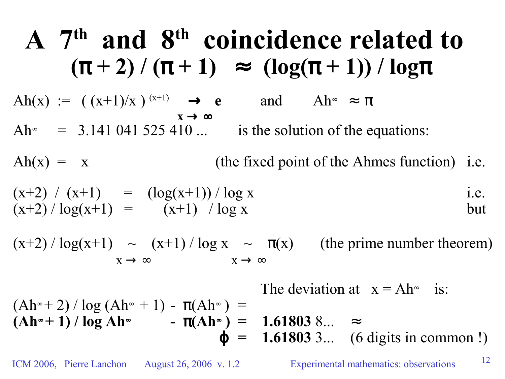A 7<sup>th</sup> and 8<sup>th</sup> **coincidence related to**  
\n
$$
(\pi + 2) / (\pi + 1) \approx (\log(\pi + 1)) / \log \pi
$$
  
\n $Ah(x) := ((x+1)/x)^{(x+1)} \rightarrow e$  and  $Ah^* \approx \pi$   
\n $Ah^* = 3.141 041 525 410 ...$  is the solution of the equations:  
\n $Ah(x) = x$  (the fixed point of the Ahmes function) i.e.  
\n $(x+2) / (x+1) = (\log(x+1)) / \log x$  i.e.  
\n $(x+2) / \log(x+1) = (x+1) / \log x$  i.e.  
\n $(x+2) / \log(x+1) \sim (x+1) / \log x \sim \pi(x)$  (the prime number theorem)  
\n $x \rightarrow \infty$  The deviation at  $x = Ah^*$  is:

$$
(Ah∞ + 2) / log (Ah∞ + 1) - π(Ah∞) =
$$
  
\n $(Ah∞ + 1) / log Ah∞ - π(Ah∞) = 1.61803 8... ≈$   
\n $\varphi = 1.61803 3... (6 digits in common !)$ 

ICM 2006, Pierre Lanchon August 26, 2006 v. 1.2 Experimental mathematics: observations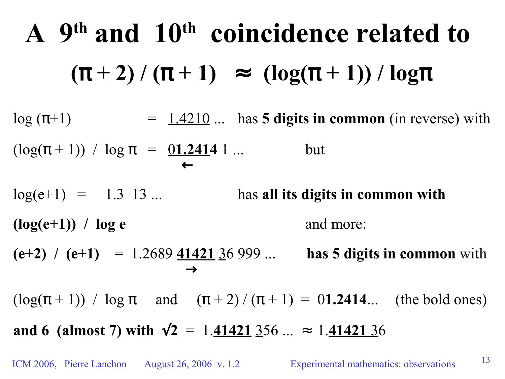**A 9 th and 10 th coincidence related to**  $(\pi + 2) / (\pi + 1) \approx (\log(\pi + 1)) / \log(\pi)$  $\log(\pi+1)$  =  $1.4210...$  has **5 digits in common** (in reverse) with  $(\log(\pi + 1)) / \log \pi = 01.24141...$  but ←  $log(e+1) = 1.3 13 ...$  has **all** its digits in common with  $(\log(e+1))$  /  $\log e$  and more: **(e+2)**  $\ell$  (e+1) = 1.2689  $\frac{41421}{36}$  999 ... **has 5** digits in common with  $\rightarrow$ (log( $\pi$  + 1)) / log  $\pi$  and  $(\pi$  + 2) / ( $\pi$  + 1) = 01.2414... (the bold ones)

**and 6** (almost 7) with  $\sqrt{2}$  = 1.41421 356 ... ≈ 1.41421 36

ICM 2006, Pierre Lanchon August 26, 2006 v. 1.2 Experimental mathematics: observations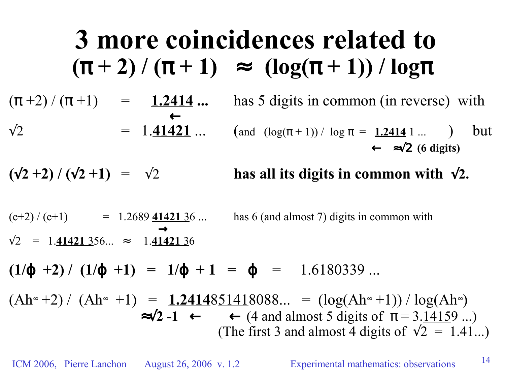**3 more coincidences related to**  $(\pi + 2) / (\pi + 1) \approx (\log(\pi + 1)) / \log(\pi)$  $(\pi +2) / (\pi +1)$  = 1.2414 ... has 5 digits in common (in reverse) with ←  $\sqrt{2}$  = 1.41421 ... (and  $(\log(\pi + 1)) / \log \pi = 1.24141...$  ) but ← ≈√2 **(6 digits)**  $(\sqrt{2} + 2)$  /  $(\sqrt{2} + 1)$  =  $\sqrt{2}$  **has all its digits in common with**  $\sqrt{2}$ .  $(e+2) / (e+1)$  = 1.2689  $\frac{41421}{36}$  ... has 6 (and almost 7) digits in common with  $\rightarrow$ √2 = 1.**41421** 356... ≈ 1.**41421** 36  $(1/\varphi +2) / (1/\varphi +1) = 1/\varphi +1 = \varphi = 1.6180339...$  $(Ah<sup>∞</sup> +2) / (Ah<sup>∞</sup> +1) = 1.2414851418088... = (log(Ah<sup>∞</sup> +1)) / log(Ah<sup>∞</sup>)$  $\approx$  √2 **-1** ← (4 and almost 5 digits of  $\pi$  = 3.14159 ...) (The first 3 and almost 4 digits of  $\sqrt{2} = 1.41...$ )

ICM 2006, Pierre Lanchon August 26, 2006 v. 1.2 Experimental mathematics: observations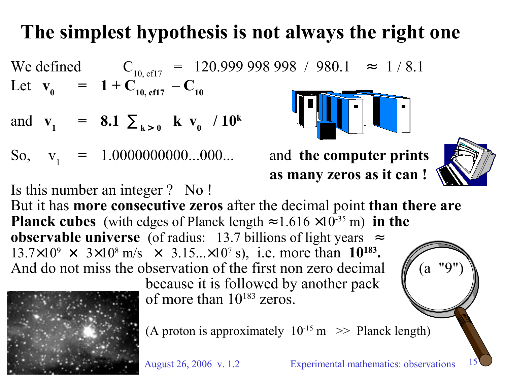# **The simplest hypothesis is not always the right one**

We defined  $C_{10, \text{eff}7} = 120.999998998 / 980.1 \approx 1/8.1$ Let  $\mathbf{v}_0 = 1 + \mathbf{C}_{10, \text{ cfl } 7} - \mathbf{C}_{10}$ and  $v_1 = 8.1 \sum_{k>0} \lfloor k \ w_0 \rfloor / 10^k$ So,  $v_1 = 1.0000000000...000...$  and **the computer prints** 

Is this number an integer ? No !

**as many zeros as it can !**



15

But it has **more consecutive zeros** after the decimal point **than there are Planck cubes** (with edges of Planck length  $\approx 1.616 \times 10^{-35}$  m) in the **observable universe** (of radius: 13.7 billions of light years  $\approx$  $13.7 \times 10^9 \times 3 \times 10^8$  m/s  $\times 3.15... \times 10^7$  s), i.e. more than 10<sup>183</sup>. And do not miss the observation of the first non zero decimal  $\pi$  (a "9")



because it is followed by another pack of more than  $10^{183}$  zeros.



(A proton is approximately  $10^{-15}$  m  $\gg$  Planck length)

August 26, 2006 v. 1.2 Experimental mathematics: observations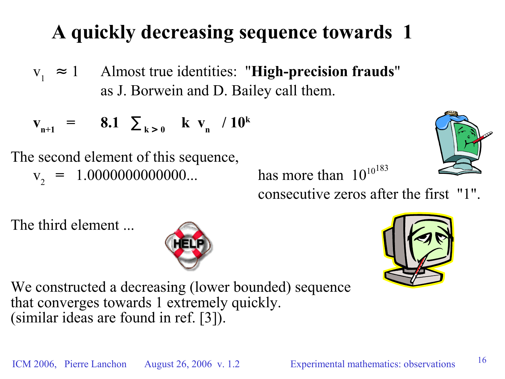## **A quickly decreasing sequence towards 1**

 $V_1 \approx 1$ ≈ 1 Almost true identities: "**High-precision frauds**" as J. Borwein and D. Bailey call them.

$$
v_{n+1} = 8.1 \sum_{k>0} \lfloor k v_n \rfloor / 10^k
$$

The second element of this sequence,  $v_2 = 1.0000000000000...$  has more than 10

10 183

consecutive zeros after the first "1".

The third element ...





16

We constructed a decreasing (lower bounded) sequence that converges towards 1 extremely quickly. (similar ideas are found in ref. [3]).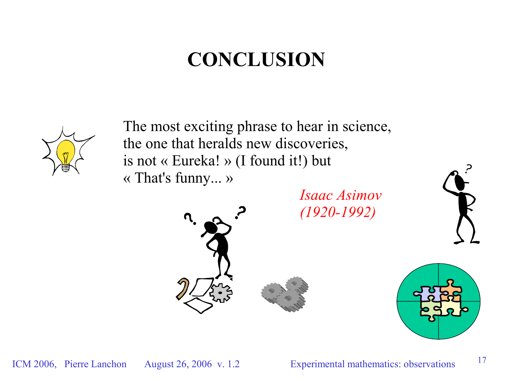## **CONCLUSION**



The most exciting phrase to hear in science, the one that heralds new discoveries, is not « Eureka! » (I found it!) but « That's funny... »

> *Isaac Asimov (1920-1992)*



17







ICM 2006, Pierre Lanchon August 26, 2006 v. 1.2 Experimental mathematics: observations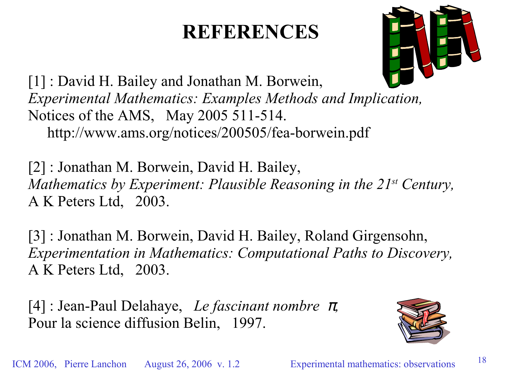### **REFERENCES**



[1] : David H. Bailey and Jonathan M. Borwein, *Experimental Mathematics: Examples Methods and Implication,* Notices of the AMS, May 2005 511-514. http://www.ams.org/notices/200505/fea-borwein.pdf

[2] : Jonathan M. Borwein, David H. Bailey, *Mathematics by Experiment: Plausible Reasoning in the 21 st Century,* A K Peters Ltd, 2003.

[3] : Jonathan M. Borwein, David H. Bailey, Roland Girgensohn, *Experimentation in Mathematics: Computational Paths to Discovery,* A K Peters Ltd, 2003.

[4] : Jean-Paul Delahaye, *Le fascinant nombre* <sup>π</sup>*,* Pour la science diffusion Belin, 1997.

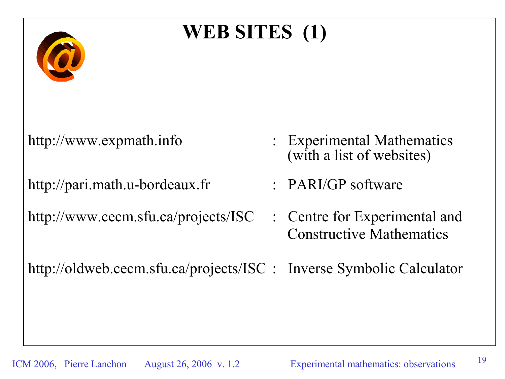# **WEB SITES (1)**

http://pari.math.u-bordeaux.fr : PARI/GP software

http://www.cecm.sfu.ca/projects/ISC : Centre for Experimental and

- http://www.expmath.info : Experimental Mathematics (with a list of websites)
	-
	- Constructive Mathematics

http://oldweb.cecm.sfu.ca/projects/ISC : Inverse Symbolic Calculator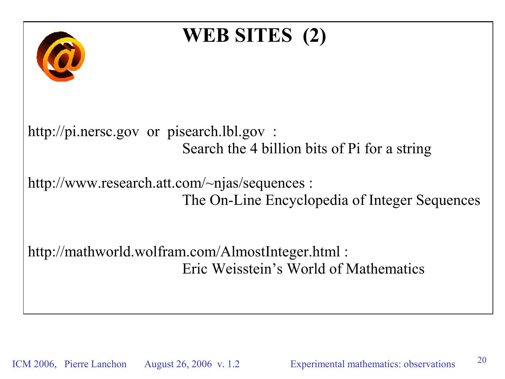

ICM 2006, Pierre Lanchon August 26, 2006 v. 1.2 Experimental mathematics: observations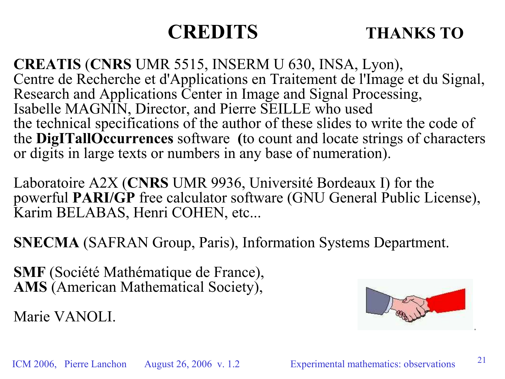#### **CREDITS THANKS TO**

**CREATIS** (**CNRS** UMR 5515, INSERM U 630, INSA, Lyon), Centre de Recherche et d'Applications en Traitement de l'Image et du Signal, Research and Applications Center in Image and Signal Processing, Isabelle MAGNIN, Director, and Pierre SEILLE who used the technical specifications of the author of these slides to write the code of the **DigITallOccurrences** software **(**to count and locate strings of characters or digits in large texts or numbers in any base of numeration).

Laboratoire A2X (**CNRS** UMR 9936, Université Bordeaux I) for the powerful **PARI/GP** free calculator software (GNU General Public License), Karim BELABAS, Henri COHEN, etc...

**SNECMA** (SAFRAN Group, Paris), Information Systems Department.

**SMF** (Société Mathématique de France), **AMS** (American Mathematical Society),

Marie VANOLI.

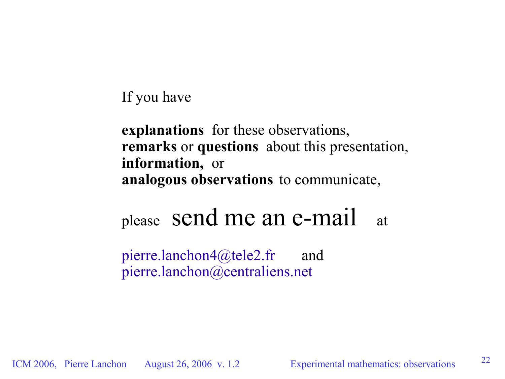#### If you have

**explanations** for these observations, **remarks** or **questions** about this presentation, **information,** or **analogous observations** to communicate,

# please send me an e-mail at

pierre.lanchon4@tele2.fr and pierre.lanchon@centraliens.net

ICM 2006, Pierre Lanchon August 26, 2006 v. 1.2 Experimental mathematics: observations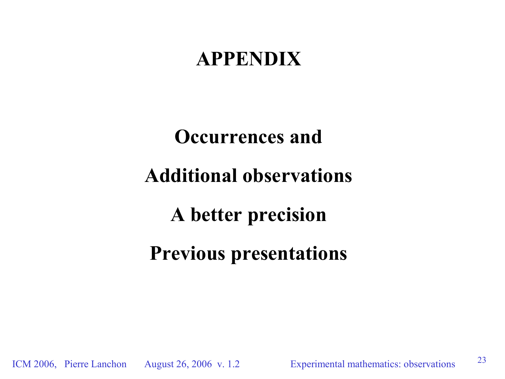### **APPENDIX**

# **Occurrences and Additional observations A better precision Previous presentations**

ICM 2006, Pierre Lanchon August 26, 2006 v. 1.2 Experimental mathematics: observations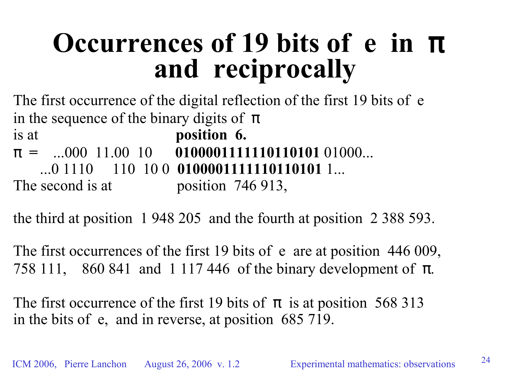# **Occurrences of 19 bits of e in** π **and reciprocally**

The first occurrence of the digital reflection of the first 19 bits of e in the sequence of the binary digits of  $\pi$ is at **position 6.** π **=** ...000 11.00 10 **0100001111110110101** 01000... ...0 1110 110 10 0 **0100001111110110101** 1... The second is at position 746 913,

the third at position 1 948 205 and the fourth at position 2 388 593.

The first occurrences of the first 19 bits of e are at position 446 009, 758 111, 860 841 and 1 117 446 of the binary development of  $\pi$ .

The first occurrence of the first 19 bits of  $\pi$  is at position 568 313 in the bits of e, and in reverse, at position 685 719.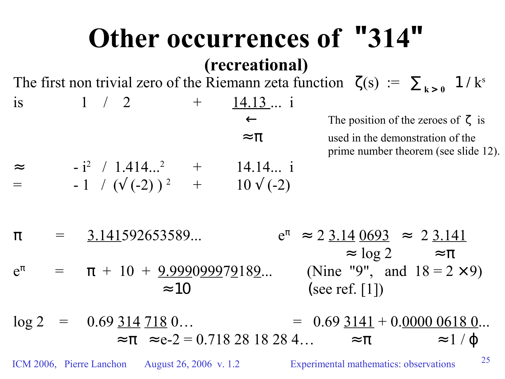#### **Other occurrences of "314" (recreational)** The first non trivial zero of the Riemann zeta function  $\zeta(s) := \sum_{k>0} 1/k^s$ is  $1 / 2 + 14.13...$  i ← The position of the zeroes of ζ is  $\approx \pi$  used in the demonstration of the prime number theorem (see slide 12).  $\approx$  - i<sup>2</sup> / 1.414...<sup>2</sup> + 14.14... i  $=$  -1 / ( $\sqrt{(-2)}$ )<sup>2</sup> + 10  $\sqrt{(-2)}$  $\pi$  = 3.141592653589...  $e^{\pi} \approx 2 \cdot 3.14 \cdot 0.093 \approx 2 \cdot 3.141$  $\approx \log 2$   $\approx \pi$  $e^{\pi}$  $\pi$  =  $\pi$  + 10 + <u>9.999099979</u>189... (Nine "9", and 18 = 2 × 9)  $\approx 10$  (see ref. [1])  $\log 2 = 0.69 \frac{314}{718} 0... = 0.69 \frac{3141}{718} + 0.0000 \frac{0618}{180}...$  $\approx \pi \approx e-2 = 0.7182818284... \approx \pi \approx 1/\phi$

ICM 2006, Pierre Lanchon August 26, 2006 v. 1.2 Experimental mathematics: observations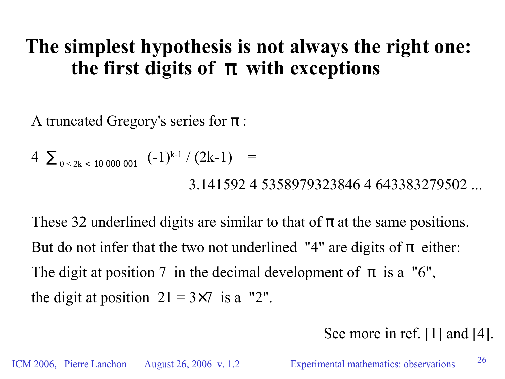### **The simplest hypothesis is not always the right one: the first digits of**  $\pi$  **with exceptions**

A truncated Gregory's series for  $\pi$ :

$$
4 \sum_{0 < 2k < 10\,000\,001} (-1)^{k-1} / (2k-1) =
$$
\n
$$
\underline{3.141592} \, 4 \, \underline{5358979323846} \, 4 \, \underline{643383279502} \, \dots
$$

These 32 underlined digits are similar to that of  $\pi$  at the same positions. But do not infer that the two not underlined "4" are digits of  $\pi$  either: The digit at position 7 in the decimal development of  $\pi$  is a "6", the digit at position  $21 = 3 \times 7$  is a "2".

#### See more in ref. [1] and [4].

ICM 2006, Pierre Lanchon August 26, 2006 v. 1.2 Experimental mathematics: observations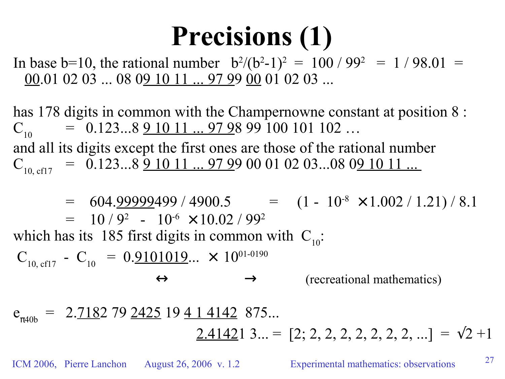# **Precisions (1)**

In base b=10, the rational number  $b^2/(b^2-1)^2 = 100/99^2 = 1/98.01$ 00.01 02 03 ... 08 09 10 11 ... 97 99 00 01 02 03 ...

has 178 digits in common with the Champernowne constant at position 8 :  $C_{10}$  $= 0.123...891011...979899100101102...$ and all its digits except the first ones are those of the rational number  $C_{10, \text{ cfl } 7}$  = 0.123...8 9 10 11 ... 97 99 00 01 02 03...08 09 10 11 ...

 $=$  604.<u>99999</u>499 / 4900.5  $=$   $(1 - 10^{-8} \times 1.002 / 1.21) / 8.1$  $= 10/9^2 - 10^{-6} \times 10.02/99^2$ which has its 185 first digits in common with  $C_{10}$ :  $C_{10, \text{ cfl } 7} - C_{10} = 0.9101019... \times 10^{01-0190}$  $\leftrightarrow$   $\rightarrow$  (recreational mathematics)  $e_{\pi 40b}$  = 2.<u>718</u>2 79 <u>2425</u> 19 <u>4 1 4142</u> 875...

 $2.41421$  3... = [2; 2, 2, 2, 2, 2, 2, 2, ...] =  $\sqrt{2}+1$ 

ICM 2006, Pierre Lanchon August 26, 2006 v. 1.2 Experimental mathematics: observations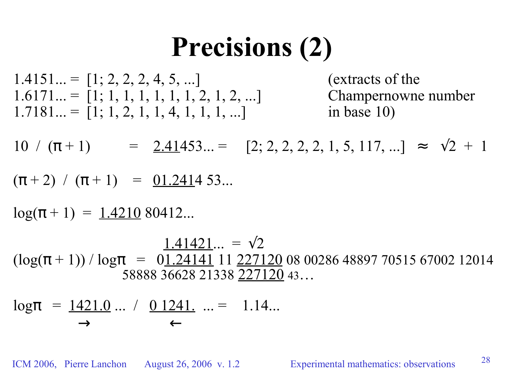# **Precisions (2)**

 $1.4151... = [1; 2, 2, 2, 4, 5, ...]$  (extracts of the  $1.6171... = [1; 1, 1, 1, 1, 1, 1, 2, 1, 2, ...]$  Champernowne number  $1.7181... = [1; 1, 2, 1, 1, 4, 1, 1, 1, ...]$  in base 10)

 $10 / (\pi + 1)$  =  $2.41453...$  =  $[2; 2, 2, 2, 2, 1, 5, 117, ...]$  =  $\sqrt{2} + 1$ 

 $(\pi + 2) / (\pi + 1) = 01.241453...$ 

 $log(\pi + 1) = 1.421080412...$ 

 $1.41421... = \sqrt{2}$  $(\log(\pi + 1)) / \log \pi = 01.24141$  11 227120 08 00286 48897 70515 67002 12014 58888 36628 21338 227120 43…

$$
log\pi = 1421.0 ... / 0.1241 ... = 1.14...
$$

ICM 2006, Pierre Lanchon August 26, 2006 v. 1.2 Experimental mathematics: observations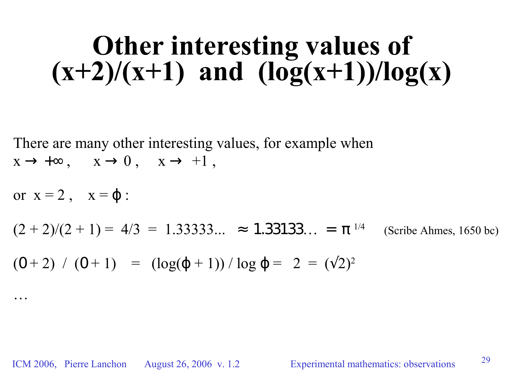# **Other interesting values of**  $(x+2)/(x+1)$  and  $(\log(x+1))/\log(x)$

There are many other interesting values, for example when  $x \to +\infty$ ,  $x \to 0$ ,  $x \to +1$ ,

or  $x = 2$ ,  $x = \varphi$ :  $(2 + 2)/(2 + 1) = 4/3 = 1.33333... \approx 1.33133... = \pi^{1/4}$ (Scribe Ahmes, 1650 bc)  $(0+2)$  /  $(0+1)$  =  $(\log(\varphi+1))$  /  $\log \varphi = 2 = (\sqrt{2})^2$ …

ICM 2006, Pierre Lanchon August 26, 2006 v. 1.2 Experimental mathematics: observations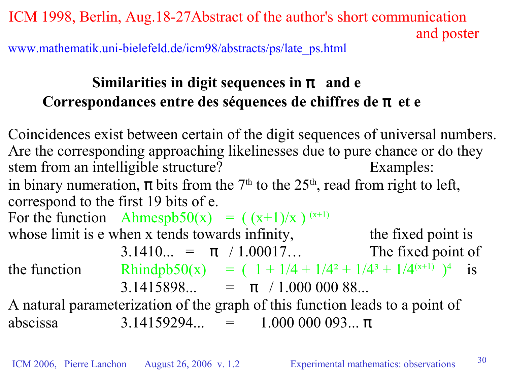ICM 1998, Berlin, Aug.18-27Abstract of the author's short communication and poster

www.mathematik.uni-bielefeld.de/icm98/abstracts/ps/late\_ps.html

#### **Similarities in digit sequences in**  $\pi$  **and e Correspondances entre des séquences de chiffres de** π **et e**

Coincidences exist between certain of the digit sequences of universal numbers. Are the corresponding approaching likelinesses due to pure chance or do they stem from an intelligible structure? Examples: in binary numeration,  $\pi$  bits from the 7<sup>th</sup> to the 25<sup>th</sup>, read from right to left, correspond to the first 19 bits of e. For the function Ahmespb50(x) =  $((x+1)/x)^{(x+1)}$ whose limit is e when x tends towards infinity, the fixed point is 3.1410... =  $\pi$  / 1.00017... The fixed point of the function Rhindpb50(x) =  $(1 + 1/4 + 1/4^2 + 1/4^3 + 1/4^{(x+1)})^4$  is 3.1415898... =  $\pi$  / 1.000 000 88... A natural parameterization of the graph of this function leads to a point of

abscissa  $3.14159294... = 1.000\,000\,093... \pi$ 

ICM 2006, Pierre Lanchon August 26, 2006 v. 1.2 Experimental mathematics: observations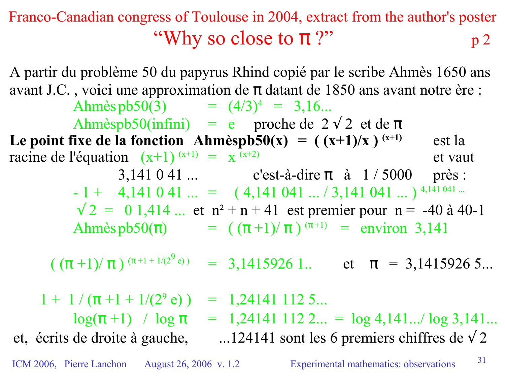#### Franco-Canadian congress of Toulouse in 2004, extract from the author's poster "Why so close to  $\pi$  ?"  $p<sub>2</sub>$

ICM 2006, Pierre Lanchon August 26, 2006 v. 1.2 Experimental mathematics: observations 31 A partir du problème 50 du papyrus Rhind copié par le scribe Ahmès 1650 ans avant J.C., voici une approximation de  $\pi$  datant de 1850 ans avant notre ère : Ahmès pb50(3)  $= (4/3)^4 = 3,16...$ Ahmèspb50(infini) = e proche de  $2\sqrt{2}$  et de  $\pi$ Le **point** fixe de la fonction Ahmèspb50(x) =  $((x+1)/x)^{(x+1)}$ **(x+1)** est la racine de l'équation  $(x+1)^{(x+1)} = x$ et vaut 3,141 0 41 ... c'est-à-dire  $\pi$  à 1 / 5000 près :  $-1 + 4,141041... = (4,141041... / 3,141041... )$ <sup>4,141 041</sup>  $\sqrt{2}$  = 0 1,414 ... et n<sup>2</sup> + n + 41 est premier pour n = -40 à 40-1 Ahmès  $p b 50(\pi)$  =  $((\pi + 1)/\pi)^{(\pi + 1)}$  = environ 3,141  $(\ (\pi+1)/\ \pi\ )^{\ (\pi+1\ +\ 1/(2^9)}$  $= 3,1415926$  1.. et  $\pi = 3,1415926$  5...  $1 + 1/(\pi + 1 + 1/(2^9 e))$  $= 1,241411125...$  $log(\pi+1)$  /  $log \pi = 1,24141$  112 2... =  $log 4,141...$   $log 3,141...$ et, écrits de droite à gauche, ...124141 sont les 6 premiers chiffres de  $\sqrt{2}$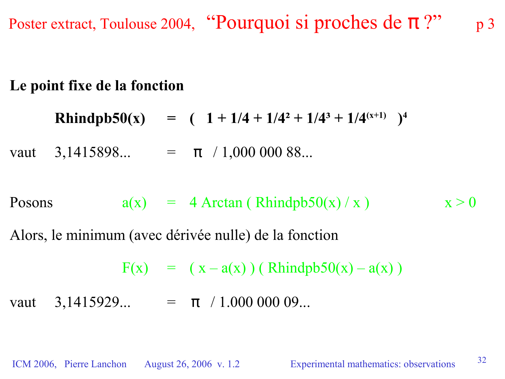Poster extract, Toulouse 2004, "Pourquoi si proches de π?" p 3

#### **Le point fixe de la fonction**

**Rhindpb50(x)** =  $(1 + 1/4 + 1/4^2 + 1/4^3 + 1/4^{(x+1)})^4$ 

vaut 3,1415898... =  $\pi$  / 1,000 000 88...

Posons  $a(x) = 4$  Arctan ( Rhindpb50(x) / x )  $x > 0$ 

Alors, le minimum (avec dérivée nulle) de la fonction

 $F(x) = (x - a(x)) (Rhindpb50(x) - a(x))$ 

vaut 3,1415929... =  $\pi$  / 1.000 000 09...

ICM 2006, Pierre Lanchon August 26, 2006 v. 1.2 Experimental mathematics: observations